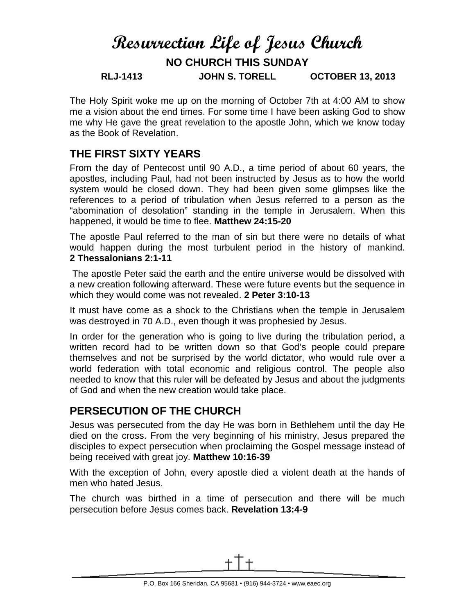# **Resurrection Life of Jesus Church NO CHURCH THIS SUNDAY RLJ-1413 JOHN S. TORELL OCTOBER 13, 2013**

The Holy Spirit woke me up on the morning of October 7th at 4:00 AM to show me a vision about the end times. For some time I have been asking God to show me why He gave the great revelation to the apostle John, which we know today as the Book of Revelation.

#### **THE FIRST SIXTY YEARS**

From the day of Pentecost until 90 A.D., a time period of about 60 years, the apostles, including Paul, had not been instructed by Jesus as to how the world system would be closed down. They had been given some glimpses like the references to a period of tribulation when Jesus referred to a person as the "abomination of desolation" standing in the temple in Jerusalem. When this happened, it would be time to flee. **Matthew 24:15-20**

The apostle Paul referred to the man of sin but there were no details of what would happen during the most turbulent period in the history of mankind. **2 Thessalonians 2:1-11**

The apostle Peter said the earth and the entire universe would be dissolved with a new creation following afterward. These were future events but the sequence in which they would come was not revealed. **2 Peter 3:10-13**

It must have come as a shock to the Christians when the temple in Jerusalem was destroyed in 70 A.D., even though it was prophesied by Jesus.

In order for the generation who is going to live during the tribulation period, a written record had to be written down so that God's people could prepare themselves and not be surprised by the world dictator, who would rule over a world federation with total economic and religious control. The people also needed to know that this ruler will be defeated by Jesus and about the judgments of God and when the new creation would take place.

## **PERSECUTION OF THE CHURCH**

Jesus was persecuted from the day He was born in Bethlehem until the day He died on the cross. From the very beginning of his ministry, Jesus prepared the disciples to expect persecution when proclaiming the Gospel message instead of being received with great joy. **Matthew 10:16-39**

With the exception of John, every apostle died a violent death at the hands of men who hated Jesus.

The church was birthed in a time of persecution and there will be much persecution before Jesus comes back. **Revelation 13:4-9**

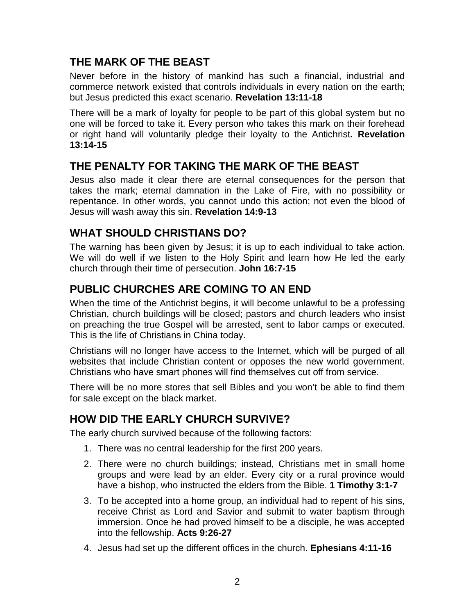#### **THE MARK OF THE BEAST**

Never before in the history of mankind has such a financial, industrial and commerce network existed that controls individuals in every nation on the earth; but Jesus predicted this exact scenario. **Revelation 13:11-18**

There will be a mark of loyalty for people to be part of this global system but no one will be forced to take it. Every person who takes this mark on their forehead or right hand will voluntarily pledge their loyalty to the Antichrist**. Revelation 13:14-15**

## **THE PENALTY FOR TAKING THE MARK OF THE BEAST**

Jesus also made it clear there are eternal consequences for the person that takes the mark; eternal damnation in the Lake of Fire, with no possibility or repentance. In other words, you cannot undo this action; not even the blood of Jesus will wash away this sin. **Revelation 14:9-13**

# **WHAT SHOULD CHRISTIANS DO?**

The warning has been given by Jesus; it is up to each individual to take action. We will do well if we listen to the Holy Spirit and learn how He led the early church through their time of persecution. **John 16:7-15**

# **PUBLIC CHURCHES ARE COMING TO AN END**

When the time of the Antichrist begins, it will become unlawful to be a professing Christian, church buildings will be closed; pastors and church leaders who insist on preaching the true Gospel will be arrested, sent to labor camps or executed. This is the life of Christians in China today.

Christians will no longer have access to the Internet, which will be purged of all websites that include Christian content or opposes the new world government. Christians who have smart phones will find themselves cut off from service.

There will be no more stores that sell Bibles and you won't be able to find them for sale except on the black market.

## **HOW DID THE EARLY CHURCH SURVIVE?**

The early church survived because of the following factors:

- 1. There was no central leadership for the first 200 years.
- 2. There were no church buildings; instead, Christians met in small home groups and were lead by an elder. Every city or a rural province would have a bishop, who instructed the elders from the Bible. **1 Timothy 3:1-7**
- 3. To be accepted into a home group, an individual had to repent of his sins, receive Christ as Lord and Savior and submit to water baptism through immersion. Once he had proved himself to be a disciple, he was accepted into the fellowship. **Acts 9:26-27**
- 4. Jesus had set up the different offices in the church. **Ephesians 4:11-16**